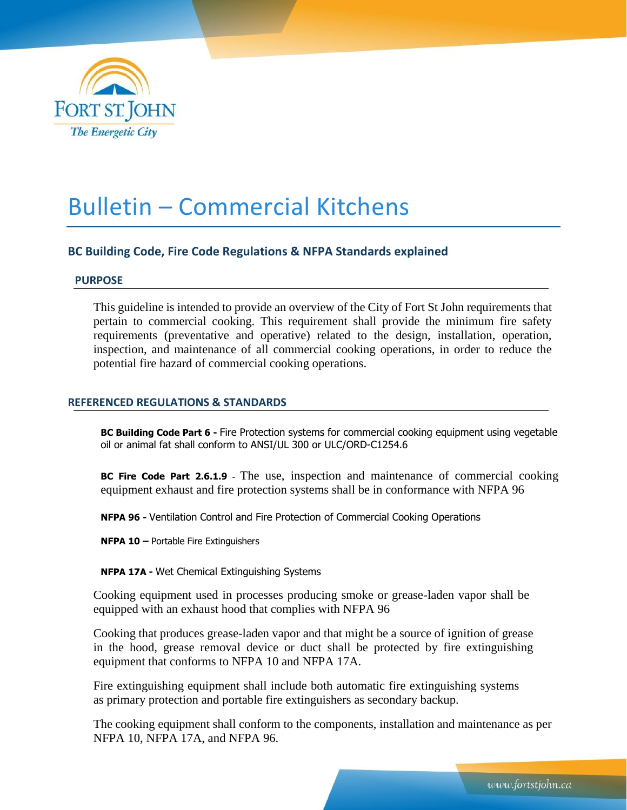

# Bulletin – Commercial Kitchens

# **BC Building Code, Fire Code Regulations & NFPA Standards explained**

# **PURPOSE**

This guideline is intended to provide an overview of the City of Fort St John requirements that pertain to commercial cooking. This requirement shall provide the minimum fire safety requirements (preventative and operative) related to the design, installation, operation, inspection, and maintenance of all commercial cooking operations, in order to reduce the potential fire hazard of commercial cooking operations.

# **REFERENCED REGULATIONS & STANDARDS**

**BC Building Code Part 6 -** Fire Protection systems for commercial cooking equipment using vegetable oil or animal fat shall conform to ANSI/UL 300 or ULC/ORD-C1254.6

**BC Fire Code Part 2.6.1.9 -** The use, inspection and maintenance of commercial cooking equipment exhaust and fire protection systems shall be in conformance with NFPA 96

**NFPA 96 -** Ventilation Control and Fire Protection of Commercial Cooking Operations

**NFPA 10 –** Portable Fire Extinguishers

**NFPA 17A -** Wet Chemical Extinguishing Systems

Cooking equipment used in processes producing smoke or grease-laden vapor shall be equipped with an exhaust hood that complies with NFPA 96

Cooking that produces grease-laden vapor and that might be a source of ignition of grease in the hood, grease removal device or duct shall be protected by fire extinguishing equipment that conforms to NFPA 10 and NFPA 17A.

Fire extinguishing equipment shall include both automatic fire extinguishing systems as primary protection and portable fire extinguishers as secondary backup.

The cooking equipment shall conform to the components, installation and maintenance as per NFPA 10, NFPA 17A, and NFPA 96.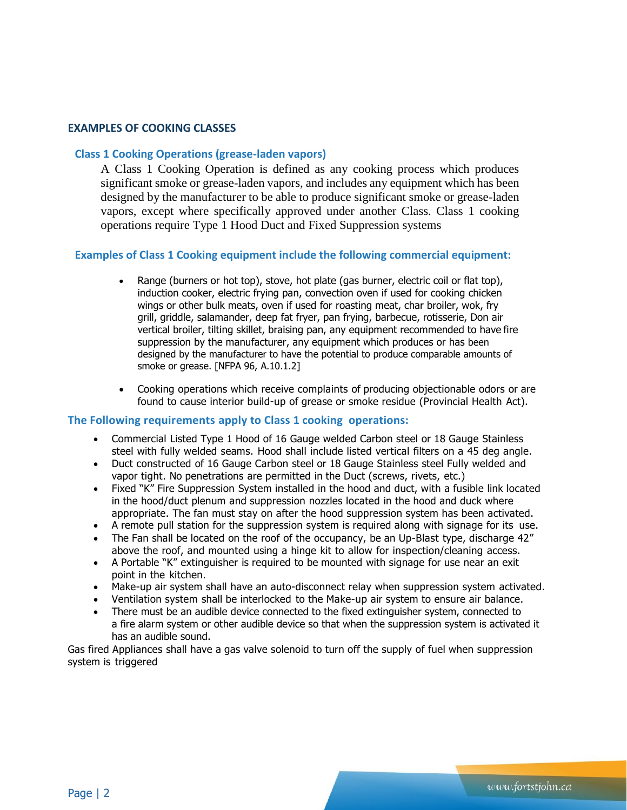## **EXAMPLES OF COOKING CLASSES**

# **Class 1 Cooking Operations (grease-laden vapors)**

A Class 1 Cooking Operation is defined as any cooking process which produces significant smoke or grease-laden vapors, and includes any equipment which has been designed by the manufacturer to be able to produce significant smoke or grease-laden vapors, except where specifically approved under another Class. Class 1 cooking operations require Type 1 Hood Duct and Fixed Suppression systems

## **Examples of Class 1 Cooking equipment include the following commercial equipment:**

- Range (burners or hot top), stove, hot plate (gas burner, electric coil or flat top), induction cooker, electric frying pan, convection oven if used for cooking chicken wings or other bulk meats, oven if used for roasting meat, char broiler, wok, fry grill, griddle, salamander, deep fat fryer, pan frying, barbecue, rotisserie, Don air vertical broiler, tilting skillet, braising pan, any equipment recommended to have fire suppression by the manufacturer, any equipment which produces or has been designed by the manufacturer to have the potential to produce comparable amounts of smoke or grease. [NFPA 96, A.10.1.2]
- Cooking operations which receive complaints of producing objectionable odors or are found to cause interior build-up of grease or smoke residue (Provincial Health Act).

#### **The Following requirements apply to Class 1 cooking operations:**

- Commercial Listed Type 1 Hood of 16 Gauge welded Carbon steel or 18 Gauge Stainless steel with fully welded seams. Hood shall include listed vertical filters on a 45 deg angle.
- Duct constructed of 16 Gauge Carbon steel or 18 Gauge Stainless steel Fully welded and vapor tight. No penetrations are permitted in the Duct (screws, rivets, etc.)
- Fixed "K" Fire Suppression System installed in the hood and duct, with a fusible link located in the hood/duct plenum and suppression nozzles located in the hood and duck where appropriate. The fan must stay on after the hood suppression system has been activated.
- A remote pull station for the suppression system is required along with signage for its use.
- The Fan shall be located on the roof of the occupancy, be an Up-Blast type, discharge 42" above the roof, and mounted using a hinge kit to allow for inspection/cleaning access.
- A Portable "K" extinguisher is required to be mounted with signage for use near an exit point in the kitchen.
- Make-up air system shall have an auto-disconnect relay when suppression system activated.
- Ventilation system shall be interlocked to the Make-up air system to ensure air balance.
- There must be an audible device connected to the fixed extinguisher system, connected to a fire alarm system or other audible device so that when the suppression system is activated it has an audible sound.

Gas fired Appliances shall have a gas valve solenoid to turn off the supply of fuel when suppression system is triggered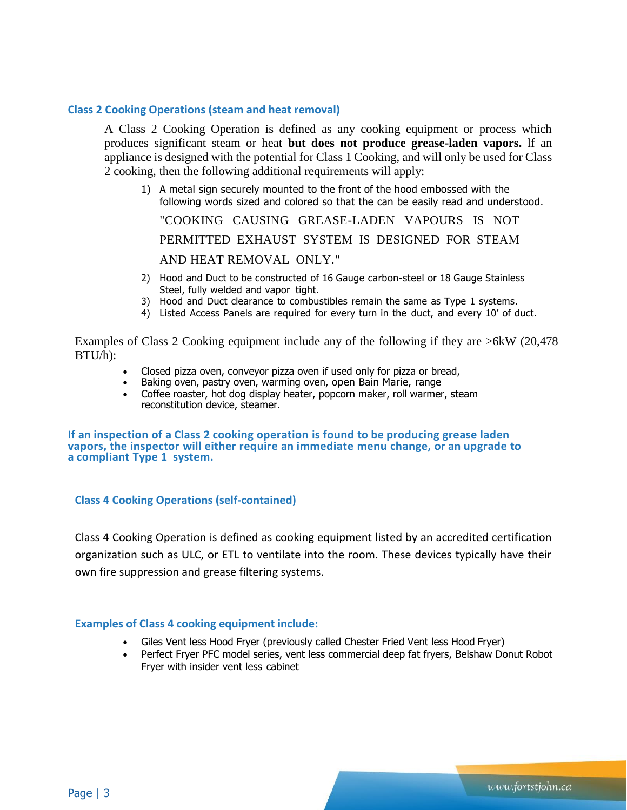# **Class 2 Cooking Operations (steam and heat removal)**

A Class 2 Cooking Operation is defined as any cooking equipment or process which produces significant steam or heat **but does not produce grease-laden vapors.** lf an appliance is designed with the potential for Class 1 Cooking, and will only be used for Class 2 cooking, then the following additional requirements will apply:

- 1) A metal sign securely mounted to the front of the hood embossed with the following words sized and colored so that the can be easily read and understood. "COOKING CAUSING GREASE-LADEN VAPOURS IS NOT PERMITTED EXHAUST SYSTEM IS DESIGNED FOR STEAM AND HEAT REMOVAL ONLY."
- 2) Hood and Duct to be constructed of 16 Gauge carbon-steel or 18 Gauge Stainless Steel, fully welded and vapor tight.
- 3) Hood and Duct clearance to combustibles remain the same as Type 1 systems.
- 4) Listed Access Panels are required for every turn in the duct, and every 10' of duct.

Examples of Class 2 Cooking equipment include any of the following if they are >6kW (20,478 BTU/h):

- Closed pizza oven, conveyor pizza oven if used only for pizza or bread,
- Baking oven, pastry oven, warming oven, open Bain Marie, range
- Coffee roaster, hot dog display heater, popcorn maker, roll warmer, steam reconstitution device, steamer.

**If an inspection of a Class 2 cooking operation is found to be producing grease laden vapors, the inspector will either require an immediate menu change, or an upgrade to a compliant Type 1 system.**

# **Class 4 Cooking Operations (self-contained)**

Class 4 Cooking Operation is defined as cooking equipment listed by an accredited certification organization such as ULC, or ETL to ventilate into the room. These devices typically have their own fire suppression and grease filtering systems.

# **Examples of Class 4 cooking equipment include:**

- Giles Vent less Hood Fryer (previously called Chester Fried Vent less Hood Fryer)
- Perfect Fryer PFC model series, vent less commercial deep fat fryers, Belshaw Donut Robot Fryer with insider vent less cabinet